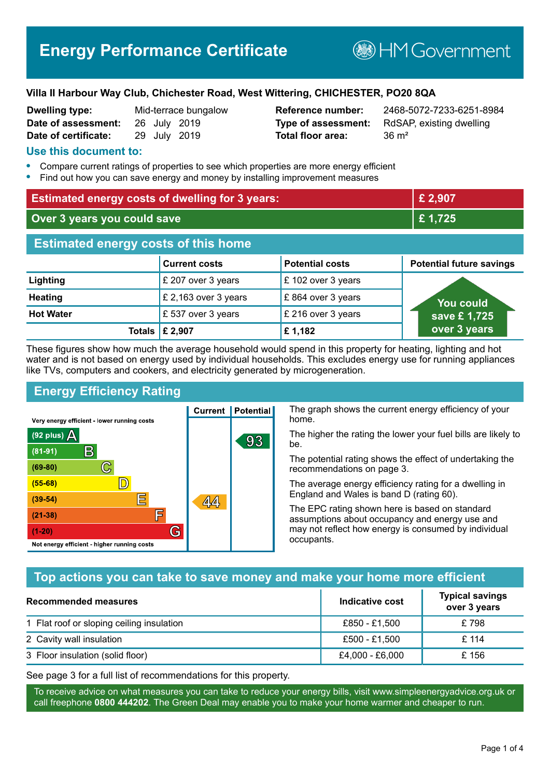## **Villa II Harbour Way Club, Chichester Road, West Wittering, CHICHESTER, PO20 8QA**

| <b>Dwelling type:</b> |  | Mid-terrace bungalov |
|-----------------------|--|----------------------|
| Date of assessment:   |  | 26 July 2019         |
| Date of certificate:  |  | 29 July 2019         |

**Total floor area:** 36 m<sup>2</sup>

**Dwelling type:** Mid-terrace bungalow **Reference number:** 2468-5072-7233-6251-8984 **Type of assessment:** RdSAP, existing dwelling

## **Use this document to:**

- **•** Compare current ratings of properties to see which properties are more energy efficient
- **•** Find out how you can save energy and money by installing improvement measures

| <b>Estimated energy costs of dwelling for 3 years:</b> |                      |                        | £ 2,907                         |
|--------------------------------------------------------|----------------------|------------------------|---------------------------------|
| Over 3 years you could save                            |                      |                        | £1,725                          |
| <b>Estimated energy costs of this home</b>             |                      |                        |                                 |
|                                                        | <b>Current costs</b> | <b>Potential costs</b> | <b>Potential future savings</b> |
| Lighting                                               | £ 207 over 3 years   | £ 102 over 3 years     |                                 |
| <b>Heating</b>                                         | £ 2,163 over 3 years | £864 over 3 years      | <b>You could</b>                |
| <b>Hot Water</b>                                       | £537 over 3 years    | £ 216 over 3 years     | save £1,725                     |
| <b>Totals</b>                                          | £ 2,907              | £1,182                 | over 3 years                    |

These figures show how much the average household would spend in this property for heating, lighting and hot water and is not based on energy used by individual households. This excludes energy use for running appliances like TVs, computers and cookers, and electricity generated by microgeneration.

**Current | Potential** 

 $A$ 

93

# **Energy Efficiency Rating**

 $\mathbb{C}$ 

 $\mathbb{D}$ 

巨

庐

G

Very energy efficient - lower running costs

R

Not energy efficient - higher running costs

 $(92$  plus)

 $(81 - 91)$ 

 $(69 - 80)$ 

 $(55-68)$ 

 $(39 - 54)$ 

 $(21-38)$ 

 $(1-20)$ 

- 70

The graph shows the current energy efficiency of your home.

The higher the rating the lower your fuel bills are likely to be.

The potential rating shows the effect of undertaking the recommendations on page 3.

The average energy efficiency rating for a dwelling in England and Wales is band D (rating 60).

The EPC rating shown here is based on standard assumptions about occupancy and energy use and may not reflect how energy is consumed by individual occupants.

# **Top actions you can take to save money and make your home more efficient**

| <b>Recommended measures</b>               | Indicative cost | <b>Typical savings</b><br>over 3 years |
|-------------------------------------------|-----------------|----------------------------------------|
| 1 Flat roof or sloping ceiling insulation | £850 - £1.500   | £798                                   |
| 2 Cavity wall insulation                  | £500 - £1,500   | £ 114                                  |
| 3 Floor insulation (solid floor)          | £4,000 - £6,000 | £156                                   |

See page 3 for a full list of recommendations for this property.

To receive advice on what measures you can take to reduce your energy bills, visit www.simpleenergyadvice.org.uk or call freephone **0800 444202**. The Green Deal may enable you to make your home warmer and cheaper to run.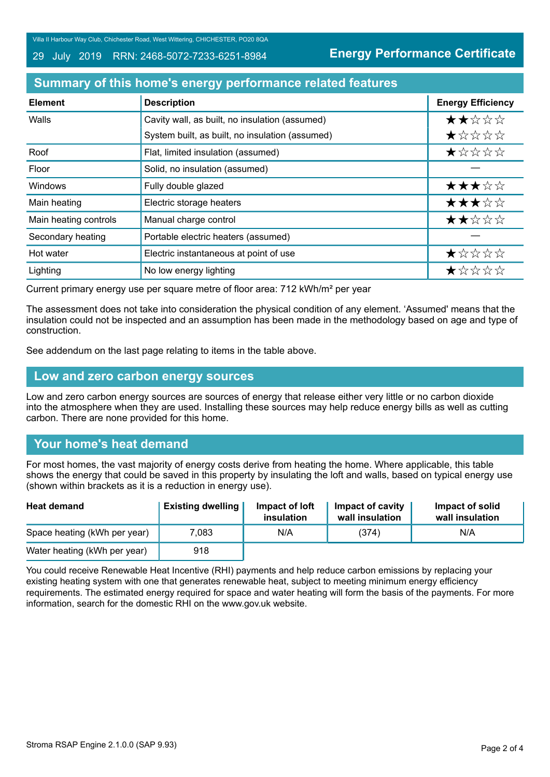Villa II Harbour Way Club, Chichester Road, West Wittering, CHICHESTER, PO20 8QA

#### 29 July 2019 RRN: 2468-5072-7233-6251-8984

**Energy Performance Certificate**

## **Summary of this home's energy performance related features**

| <b>Element</b>        | <b>Description</b>                              | <b>Energy Efficiency</b> |
|-----------------------|-------------------------------------------------|--------------------------|
| Walls                 | Cavity wall, as built, no insulation (assumed)  | ★★☆☆☆                    |
|                       | System built, as built, no insulation (assumed) | *****                    |
| Roof                  | Flat, limited insulation (assumed)              | $\star$ * * * *          |
| Floor                 | Solid, no insulation (assumed)                  |                          |
| Windows               | Fully double glazed                             | ★★★☆☆                    |
| Main heating          | Electric storage heaters                        | ★★★☆☆                    |
| Main heating controls | Manual charge control                           | ★★☆☆☆                    |
| Secondary heating     | Portable electric heaters (assumed)             |                          |
| Hot water             | Electric instantaneous at point of use          | ★☆☆☆☆                    |
| Lighting              | No low energy lighting                          | ★☆☆☆☆                    |

Current primary energy use per square metre of floor area: 712 kWh/m² per year

The assessment does not take into consideration the physical condition of any element. 'Assumed' means that the insulation could not be inspected and an assumption has been made in the methodology based on age and type of construction.

See addendum on the last page relating to items in the table above.

### **Low and zero carbon energy sources**

Low and zero carbon energy sources are sources of energy that release either very little or no carbon dioxide into the atmosphere when they are used. Installing these sources may help reduce energy bills as well as cutting carbon. There are none provided for this home.

# **Your home's heat demand**

For most homes, the vast majority of energy costs derive from heating the home. Where applicable, this table shows the energy that could be saved in this property by insulating the loft and walls, based on typical energy use (shown within brackets as it is a reduction in energy use).

| <b>Heat demand</b>           | <b>Existing dwelling</b> | Impact of loft<br>insulation | Impact of cavity<br>wall insulation | Impact of solid<br>wall insulation |
|------------------------------|--------------------------|------------------------------|-------------------------------------|------------------------------------|
| Space heating (kWh per year) | 7,083                    | N/A                          | (374)                               | N/A                                |
| Water heating (kWh per year) | 918                      |                              |                                     |                                    |

You could receive Renewable Heat Incentive (RHI) payments and help reduce carbon emissions by replacing your existing heating system with one that generates renewable heat, subject to meeting minimum energy efficiency requirements. The estimated energy required for space and water heating will form the basis of the payments. For more information, search for the domestic RHI on the www.gov.uk website.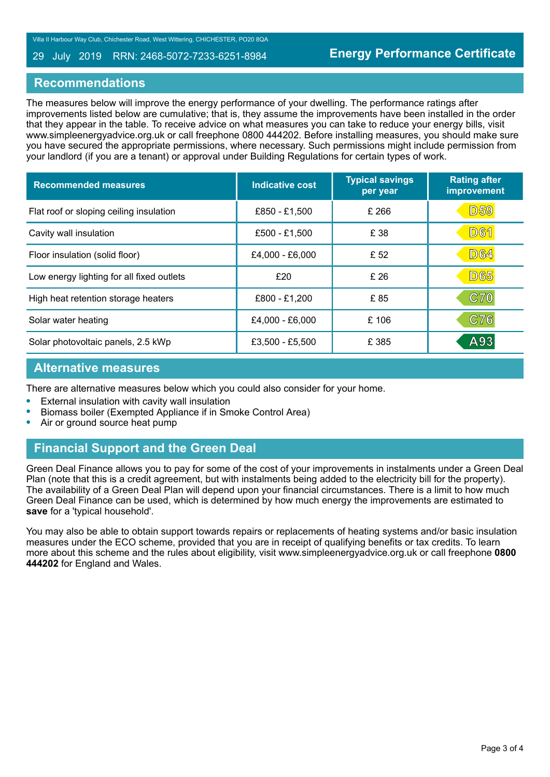#### 29 July 2019 RRN: 2468-5072-7233-6251-8984

## **Recommendations**

The measures below will improve the energy performance of your dwelling. The performance ratings after improvements listed below are cumulative; that is, they assume the improvements have been installed in the order that they appear in the table. To receive advice on what measures you can take to reduce your energy bills, visit www.simpleenergyadvice.org.uk or call freephone 0800 444202. Before installing measures, you should make sure you have secured the appropriate permissions, where necessary. Such permissions might include permission from your landlord (if you are a tenant) or approval under Building Regulations for certain types of work.

| <b>Recommended measures</b>               | Indicative cost | <b>Typical savings</b><br>per year | <b>Rating after</b><br>improvement |
|-------------------------------------------|-----------------|------------------------------------|------------------------------------|
| Flat roof or sloping ceiling insulation   | £850 - £1,500   | £ 266                              | <b>D59</b>                         |
| Cavity wall insulation                    | £500 - £1,500   | £ 38                               | <b>D61</b>                         |
| Floor insulation (solid floor)            | £4,000 - £6,000 | £ 52                               | <b>D64</b>                         |
| Low energy lighting for all fixed outlets | £20             | £ 26                               | <b>D65</b>                         |
| High heat retention storage heaters       | £800 - £1,200   | £85                                | <b>C70</b>                         |
| Solar water heating                       | £4,000 - £6,000 | £106                               | C76                                |
| Solar photovoltaic panels, 2.5 kWp        | £3,500 - £5,500 | £ 385                              | A93                                |

## **Alternative measures**

There are alternative measures below which you could also consider for your home.

- **•** External insulation with cavity wall insulation
- **•** Biomass boiler (Exempted Appliance if in Smoke Control Area)
- **•** Air or ground source heat pump

# **Financial Support and the Green Deal**

Green Deal Finance allows you to pay for some of the cost of your improvements in instalments under a Green Deal Plan (note that this is a credit agreement, but with instalments being added to the electricity bill for the property). The availability of a Green Deal Plan will depend upon your financial circumstances. There is a limit to how much Green Deal Finance can be used, which is determined by how much energy the improvements are estimated to **save** for a 'typical household'.

You may also be able to obtain support towards repairs or replacements of heating systems and/or basic insulation measures under the ECO scheme, provided that you are in receipt of qualifying benefits or tax credits. To learn more about this scheme and the rules about eligibility, visit www.simpleenergyadvice.org.uk or call freephone **0800 444202** for England and Wales.